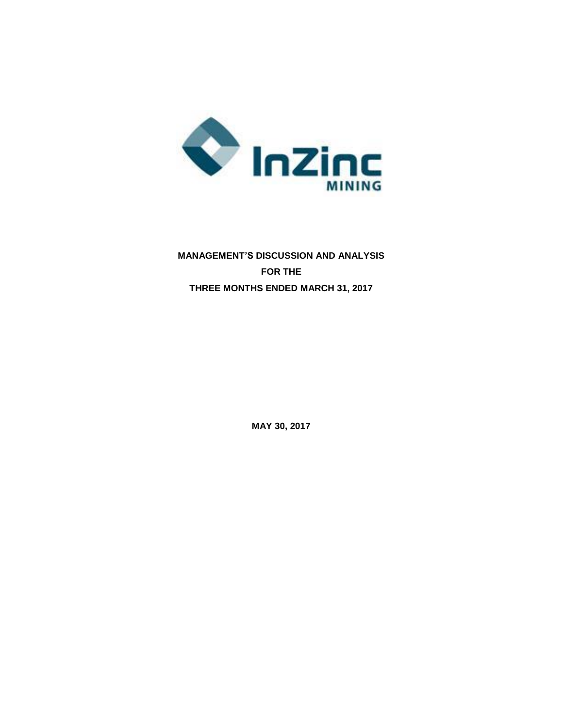

# **MANAGEMENT'S DISCUSSION AND ANALYSIS FOR THE THREE MONTHS ENDED MARCH 31, 2017**

**MAY 30, 2017**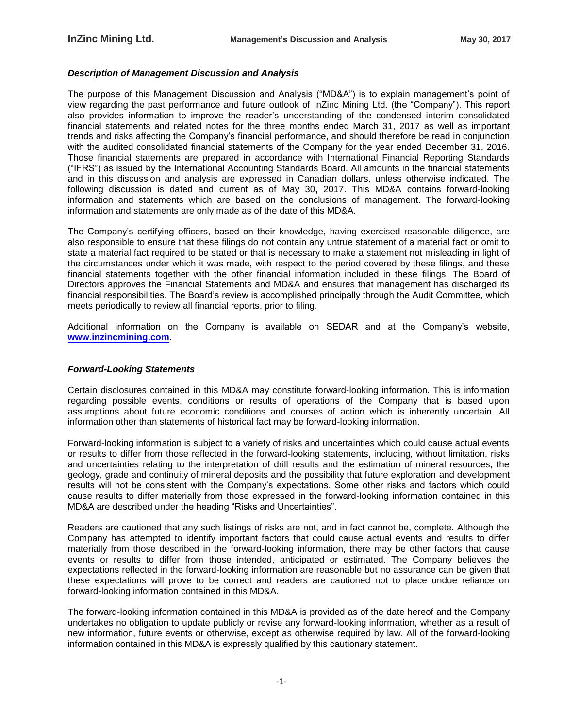## *Description of Management Discussion and Analysis*

The purpose of this Management Discussion and Analysis ("MD&A") is to explain management's point of view regarding the past performance and future outlook of InZinc Mining Ltd. (the "Company"). This report also provides information to improve the reader's understanding of the condensed interim consolidated financial statements and related notes for the three months ended March 31, 2017 as well as important trends and risks affecting the Company's financial performance, and should therefore be read in conjunction with the audited consolidated financial statements of the Company for the year ended December 31, 2016. Those financial statements are prepared in accordance with International Financial Reporting Standards ("IFRS") as issued by the International Accounting Standards Board. All amounts in the financial statements and in this discussion and analysis are expressed in Canadian dollars, unless otherwise indicated. The following discussion is dated and current as of May 30**,** 2017. This MD&A contains forward-looking information and statements which are based on the conclusions of management. The forward-looking information and statements are only made as of the date of this MD&A.

The Company's certifying officers, based on their knowledge, having exercised reasonable diligence, are also responsible to ensure that these filings do not contain any untrue statement of a material fact or omit to state a material fact required to be stated or that is necessary to make a statement not misleading in light of the circumstances under which it was made, with respect to the period covered by these filings, and these financial statements together with the other financial information included in these filings. The Board of Directors approves the Financial Statements and MD&A and ensures that management has discharged its financial responsibilities. The Board's review is accomplished principally through the Audit Committee, which meets periodically to review all financial reports, prior to filing.

Additional information on the Company is available on SEDAR and at the Company's website, **[www.inzincmining.com](http://www.lithicresources.com/)**.

### *Forward-Looking Statements*

Certain disclosures contained in this MD&A may constitute forward-looking information. This is information regarding possible events, conditions or results of operations of the Company that is based upon assumptions about future economic conditions and courses of action which is inherently uncertain. All information other than statements of historical fact may be forward-looking information.

Forward-looking information is subject to a variety of risks and uncertainties which could cause actual events or results to differ from those reflected in the forward-looking statements, including, without limitation, risks and uncertainties relating to the interpretation of drill results and the estimation of mineral resources, the geology, grade and continuity of mineral deposits and the possibility that future exploration and development results will not be consistent with the Company's expectations. Some other risks and factors which could cause results to differ materially from those expressed in the forward-looking information contained in this MD&A are described under the heading "Risks and Uncertainties".

Readers are cautioned that any such listings of risks are not, and in fact cannot be, complete. Although the Company has attempted to identify important factors that could cause actual events and results to differ materially from those described in the forward-looking information, there may be other factors that cause events or results to differ from those intended, anticipated or estimated. The Company believes the expectations reflected in the forward-looking information are reasonable but no assurance can be given that these expectations will prove to be correct and readers are cautioned not to place undue reliance on forward-looking information contained in this MD&A.

The forward-looking information contained in this MD&A is provided as of the date hereof and the Company undertakes no obligation to update publicly or revise any forward-looking information, whether as a result of new information, future events or otherwise, except as otherwise required by law. All of the forward-looking information contained in this MD&A is expressly qualified by this cautionary statement.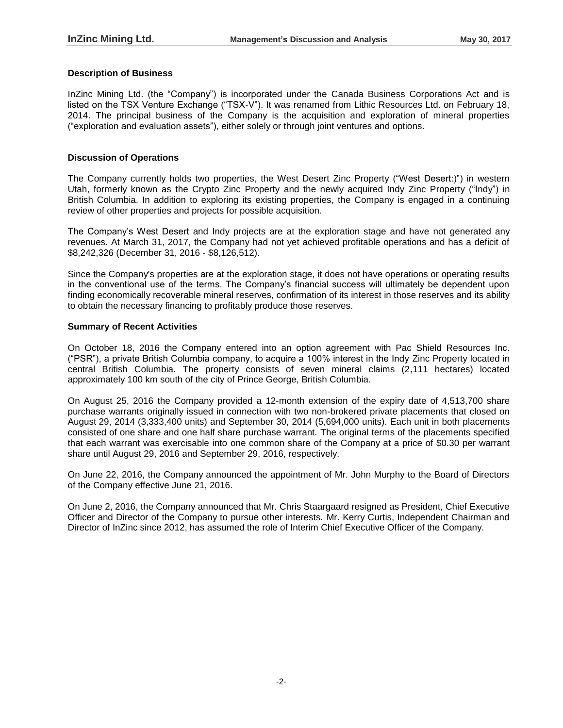# **Description of Business**

InZinc Mining Ltd. (the "Company") is incorporated under the Canada Business Corporations Act and is listed on the TSX Venture Exchange ("TSX-V"). It was renamed from Lithic Resources Ltd. on February 18, 2014. The principal business of the Company is the acquisition and exploration of mineral properties ("exploration and evaluation assets"), either solely or through joint ventures and options.

# **Discussion of Operations**

The Company currently holds two properties, the West Desert Zinc Property ("West Desert:)") in western Utah, formerly known as the Crypto Zinc Property and the newly acquired Indy Zinc Property ("Indy") in British Columbia. In addition to exploring its existing properties, the Company is engaged in a continuing review of other properties and projects for possible acquisition.

The Company's West Desert and Indy projects are at the exploration stage and have not generated any revenues. At March 31, 2017, the Company had not yet achieved profitable operations and has a deficit of \$8,242,326 (December 31, 2016 - \$8,126,512).

Since the Company's properties are at the exploration stage, it does not have operations or operating results in the conventional use of the terms. The Company's financial success will ultimately be dependent upon finding economically recoverable mineral reserves, confirmation of its interest in those reserves and its ability to obtain the necessary financing to profitably produce those reserves.

## **Summary of Recent Activities**

On October 18, 2016 the Company entered into an option agreement with Pac Shield Resources Inc. ("PSR"), a private British Columbia company, to acquire a 100% interest in the Indy Zinc Property located in central British Columbia. The property consists of seven mineral claims (2,111 hectares) located approximately 100 km south of the city of Prince George, British Columbia.

On August 25, 2016 the Company provided a 12-month extension of the expiry date of 4,513,700 share purchase warrants originally issued in connection with two non-brokered private placements that closed on August 29, 2014 (3,333,400 units) and September 30, 2014 (5,694,000 units). Each unit in both placements consisted of one share and one half share purchase warrant. The original terms of the placements specified that each warrant was exercisable into one common share of the Company at a price of \$0.30 per warrant share until August 29, 2016 and September 29, 2016, respectively.

On June 22, 2016, the Company announced the appointment of Mr. John Murphy to the Board of Directors of the Company effective June 21, 2016.

On June 2, 2016, the Company announced that Mr. Chris Staargaard resigned as President, Chief Executive Officer and Director of the Company to pursue other interests. Mr. Kerry Curtis, Independent Chairman and Director of InZinc since 2012, has assumed the role of Interim Chief Executive Officer of the Company.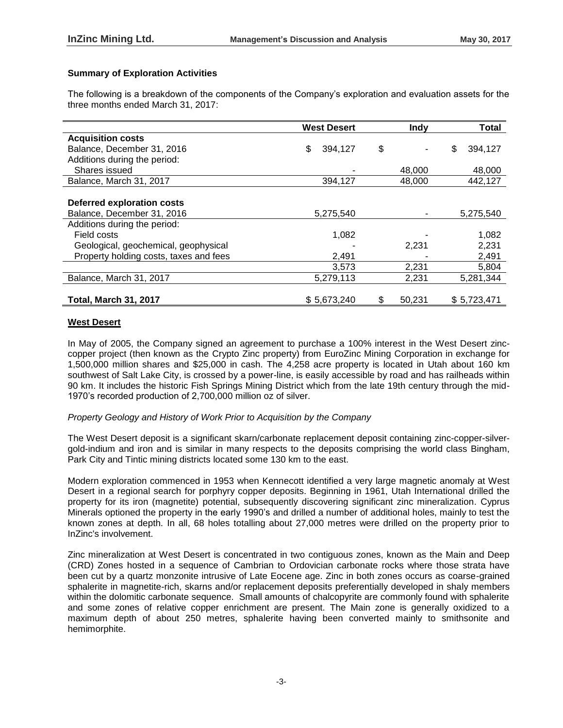# **Summary of Exploration Activities**

The following is a breakdown of the components of the Company's exploration and evaluation assets for the three months ended March 31, 2017:

|                                        | <b>West Desert</b> |    | <b>Indv</b> | <b>Total</b>  |
|----------------------------------------|--------------------|----|-------------|---------------|
| <b>Acquisition costs</b>               |                    |    |             |               |
| Balance, December 31, 2016             | \$<br>394,127      | \$ |             | \$<br>394,127 |
| Additions during the period:           |                    |    |             |               |
| Shares issued                          |                    |    | 48,000      | 48,000        |
| Balance, March 31, 2017                | 394,127            |    | 48,000      | 442,127       |
|                                        |                    |    |             |               |
| <b>Deferred exploration costs</b>      |                    |    |             |               |
| Balance, December 31, 2016             | 5,275,540          |    |             | 5,275,540     |
| Additions during the period:           |                    |    |             |               |
| Field costs                            | 1,082              |    |             | 1,082         |
| Geological, geochemical, geophysical   |                    |    | 2,231       | 2,231         |
| Property holding costs, taxes and fees | 2,491              |    |             | 2,491         |
|                                        | 3,573              |    | 2,231       | 5,804         |
| Balance, March 31, 2017                | 5,279,113          |    | 2,231       | 5,281,344     |
|                                        |                    |    |             |               |
| <b>Total, March 31, 2017</b>           | \$5,673,240        | S  | 50,231      | \$5,723,471   |

# **West Desert**

In May of 2005, the Company signed an agreement to purchase a 100% interest in the West Desert zinccopper project (then known as the Crypto Zinc property) from EuroZinc Mining Corporation in exchange for 1,500,000 million shares and \$25,000 in cash. The 4,258 acre property is located in Utah about 160 km southwest of Salt Lake City, is crossed by a power-line, is easily accessible by road and has railheads within 90 km. It includes the historic Fish Springs Mining District which from the late 19th century through the mid-1970's recorded production of 2,700,000 million oz of silver.

## *Property Geology and History of Work Prior to Acquisition by the Company*

The West Desert deposit is a significant skarn/carbonate replacement deposit containing zinc-copper-silvergold-indium and iron and is similar in many respects to the deposits comprising the world class Bingham, Park City and Tintic mining districts located some 130 km to the east.

Modern exploration commenced in 1953 when Kennecott identified a very large magnetic anomaly at West Desert in a regional search for porphyry copper deposits. Beginning in 1961, Utah International drilled the property for its iron (magnetite) potential, subsequently discovering significant zinc mineralization. Cyprus Minerals optioned the property in the early 1990's and drilled a number of additional holes, mainly to test the known zones at depth. In all, 68 holes totalling about 27,000 metres were drilled on the property prior to InZinc's involvement.

Zinc mineralization at West Desert is concentrated in two contiguous zones, known as the Main and Deep (CRD) Zones hosted in a sequence of Cambrian to Ordovician carbonate rocks where those strata have been cut by a quartz monzonite intrusive of Late Eocene age. Zinc in both zones occurs as coarse-grained sphalerite in magnetite-rich, skarns and/or replacement deposits preferentially developed in shaly members within the dolomitic carbonate sequence. Small amounts of chalcopyrite are commonly found with sphalerite and some zones of relative copper enrichment are present. The Main zone is generally oxidized to a maximum depth of about 250 metres, sphalerite having been converted mainly to smithsonite and hemimorphite.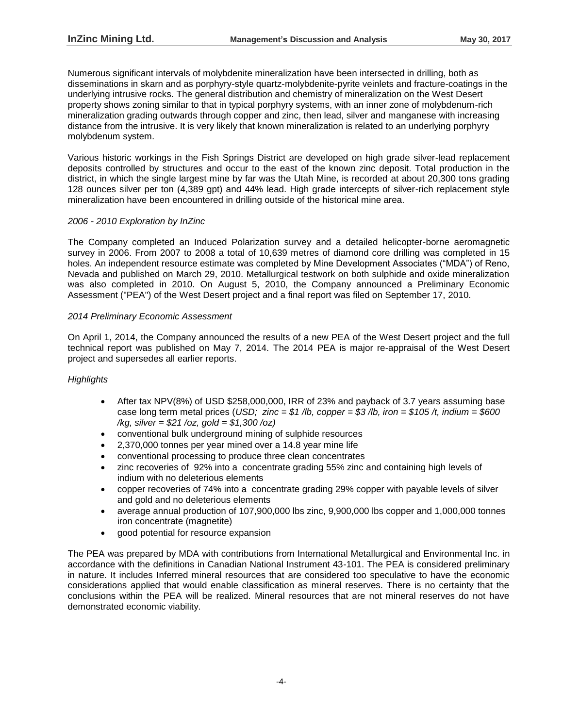Numerous significant intervals of molybdenite mineralization have been intersected in drilling, both as disseminations in skarn and as porphyry-style quartz-molybdenite-pyrite veinlets and fracture-coatings in the underlying intrusive rocks. The general distribution and chemistry of mineralization on the West Desert property shows zoning similar to that in typical porphyry systems, with an inner zone of molybdenum-rich mineralization grading outwards through copper and zinc, then lead, silver and manganese with increasing distance from the intrusive. It is very likely that known mineralization is related to an underlying porphyry molybdenum system.

Various historic workings in the Fish Springs District are developed on high grade silver-lead replacement deposits controlled by structures and occur to the east of the known zinc deposit. Total production in the district, in which the single largest mine by far was the Utah Mine, is recorded at about 20,300 tons grading 128 ounces silver per ton (4,389 gpt) and 44% lead. High grade intercepts of silver-rich replacement style mineralization have been encountered in drilling outside of the historical mine area.

## *2006 - 2010 Exploration by InZinc*

The Company completed an Induced Polarization survey and a detailed helicopter-borne aeromagnetic survey in 2006. From 2007 to 2008 a total of 10,639 metres of diamond core drilling was completed in 15 holes. An independent resource estimate was completed by Mine Development Associates ("MDA") of Reno, Nevada and published on March 29, 2010. Metallurgical testwork on both sulphide and oxide mineralization was also completed in 2010. On August 5, 2010, the Company announced a Preliminary Economic Assessment ("PEA") of the West Desert project and a final report was filed on September 17, 2010.

## *2014 Preliminary Economic Assessment*

On April 1, 2014, the Company announced the results of a new PEA of the West Desert project and the full technical report was published on May 7, 2014. The 2014 PEA is major re-appraisal of the West Desert project and supersedes all earlier reports.

## *Highlights*

- After tax NPV(8%) of USD \$258,000,000, IRR of 23% and payback of 3.7 years assuming base case long term metal prices (*USD; zinc = \$1 /lb, copper = \$3 /lb, iron = \$105 /t, indium = \$600 /kg, silver = \$21 /oz, gold = \$1,300 /oz)*
- conventional bulk underground mining of sulphide resources
- 2,370,000 tonnes per year mined over a 14.8 year mine life
- conventional processing to produce three clean concentrates
- zinc recoveries of 92% into a concentrate grading 55% zinc and containing high levels of indium with no deleterious elements
- copper recoveries of 74% into a concentrate grading 29% copper with payable levels of silver and gold and no deleterious elements
- average annual production of 107,900,000 lbs zinc, 9,900,000 lbs copper and 1,000,000 tonnes iron concentrate (magnetite)
- good potential for resource expansion

The PEA was prepared by MDA with contributions from International Metallurgical and Environmental Inc. in accordance with the definitions in Canadian National Instrument 43-101. The PEA is considered preliminary in nature. It includes Inferred mineral resources that are considered too speculative to have the economic considerations applied that would enable classification as mineral reserves. There is no certainty that the conclusions within the PEA will be realized. Mineral resources that are not mineral reserves do not have demonstrated economic viability.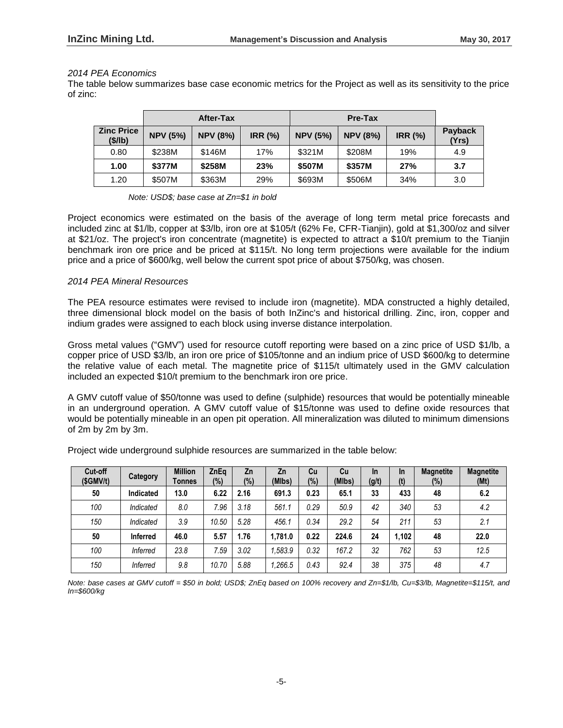#### *2014 PEA Economics*

The table below summarizes base case economic metrics for the Project as well as its sensitivity to the price of zinc:

|                              | After-Tax       |                 |                |                 |                 |                |                  |
|------------------------------|-----------------|-----------------|----------------|-----------------|-----------------|----------------|------------------|
| <b>Zinc Price</b><br>(\$/lb) | <b>NPV (5%)</b> | <b>NPV (8%)</b> | <b>IRR (%)</b> | <b>NPV (5%)</b> | <b>NPV (8%)</b> | <b>IRR (%)</b> | Payback<br>(Yrs) |
| 0.80                         | \$238M          | \$146M          | 17%            | \$321M          | \$208M          | 19%            | 4.9              |
| 1.00                         | \$377M          | \$258M          | 23%            | \$507M          | \$357M          | 27%            | 3.7              |
| 1.20                         | \$507M          | \$363M          | 29%            | \$693M          | \$506M          | 34%            | 3.0              |

*Note: USD\$; base case at Zn=\$1 in bold*

Project economics were estimated on the basis of the average of long term metal price forecasts and included zinc at \$1/lb, copper at \$3/lb, iron ore at \$105/t (62% Fe, CFR-Tianjin), gold at \$1,300/oz and silver at \$21/oz. The project's iron concentrate (magnetite) is expected to attract a \$10/t premium to the Tianjin benchmark iron ore price and be priced at \$115/t. No long term projections were available for the indium price and a price of \$600/kg, well below the current spot price of about \$750/kg, was chosen.

## *2014 PEA Mineral Resources*

The PEA resource estimates were revised to include iron (magnetite). MDA constructed a highly detailed, three dimensional block model on the basis of both InZinc's and historical drilling. Zinc, iron, copper and indium grades were assigned to each block using inverse distance interpolation.

Gross metal values ("GMV") used for resource cutoff reporting were based on a zinc price of USD \$1/lb, a copper price of USD \$3/lb, an iron ore price of \$105/tonne and an indium price of USD \$600/kg to determine the relative value of each metal. The magnetite price of \$115/t ultimately used in the GMV calculation included an expected \$10/t premium to the benchmark iron ore price.

A GMV cutoff value of \$50/tonne was used to define (sulphide) resources that would be potentially mineable in an underground operation. A GMV cutoff value of \$15/tonne was used to define oxide resources that would be potentially mineable in an open pit operation. All mineralization was diluted to minimum dimensions of 2m by 2m by 3m.

| Cut-off<br>(SGMV/t) | Category        | <b>Million</b><br>Tonnes | ZnEq<br>(%) | Zn<br>$(\%)$ | Zn<br>(MIbs) | Cu<br>$(\%)$ | Cu<br>(MIbs) | <b>In</b><br>(g/t) | <b>In</b><br>(t) | <b>Magnetite</b><br>$(\%)$ | <b>Magnetite</b><br>(Mt) |
|---------------------|-----------------|--------------------------|-------------|--------------|--------------|--------------|--------------|--------------------|------------------|----------------------------|--------------------------|
| 50                  | Indicated       | 13.0                     | 6.22        | 2.16         | 691.3        | 0.23         | 65.1         | 33                 | 433              | 48                         | 6.2                      |
| 100                 | Indicated       | 8.0                      | 7.96        | 3.18         | 561.1        | 0.29         | 50.9         | 42                 | 340              | 53                         | 4.2                      |
| 150                 | Indicated       | 3.9                      | 10.50       | 5.28         | 456.1        | 0.34         | 29.2         | 54                 | 211              | 53                         | 2.1                      |
| 50                  | <b>Inferred</b> | 46.0                     | 5.57        | 1.76         | 1.781.0      | 0.22         | 224.6        | 24                 | 1,102            | 48                         | 22.0                     |
| 100                 | <b>Inferred</b> | 23.8                     | 7.59        | 3.02         | .583.9       | 0.32         | 167.2        | 32                 | 762              | 53                         | 12.5                     |
| 150                 | Inferred        | 9.8                      | 10.70       | 5.88         | 1,266.5      | 0.43         | 92.4         | 38                 | 375              | 48                         | 4.7                      |

Project wide underground sulphide resources are summarized in the table below:

*Note: base cases at GMV cutoff = \$50 in bold; USD\$; ZnEq based on 100% recovery and Zn=\$1/lb, Cu=\$3/lb, Magnetite=\$115/t, and In=\$600/kg*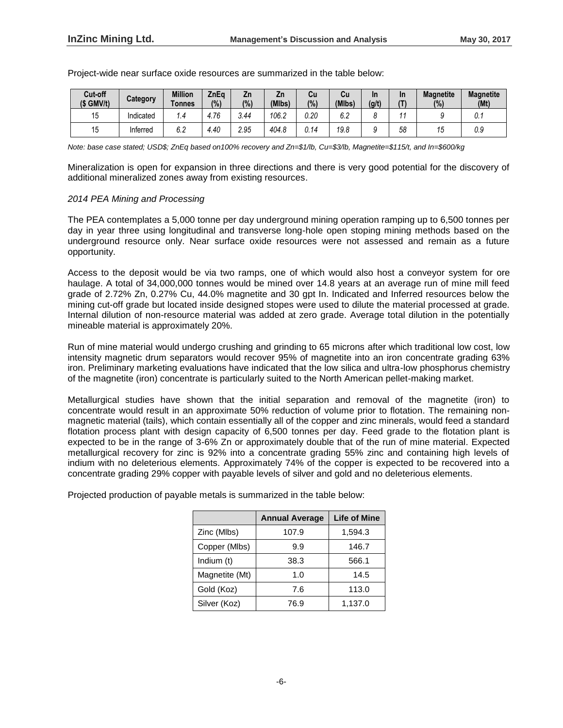| Cut-off<br>$(S \text{ GMV/t})$ | Category  | <b>Million</b><br><b>Tonnes</b> | ZnEa<br>(%) | Zn<br>(%) | ۷'n<br>(MIbs) | Cu<br>(% )  | Cu<br>(MIbs)         | In<br>(g/t) | <b>In</b> | <b>Magnetite</b><br>(%) | <b>Magnetite</b><br>(Mt) |
|--------------------------------|-----------|---------------------------------|-------------|-----------|---------------|-------------|----------------------|-------------|-----------|-------------------------|--------------------------|
| 15                             | Indicated | ı.4                             | 4.76        | 3.44      | 106.2         | 0.20        | $\sim$ $\sim$<br>b.Z |             |           |                         | v. I                     |
| 15                             | Inferred  | 6.2                             | 4.40        | 2.95      | 404.8         | <u>J.14</u> | 19.8                 | u           | 58        | 70                      | 0.9                      |

Project-wide near surface oxide resources are summarized in the table below:

*Note: base case stated; USD\$; ZnEq based on100% recovery and Zn=\$1/lb, Cu=\$3/lb, Magnetite=\$115/t, and In=\$600/kg*

Mineralization is open for expansion in three directions and there is very good potential for the discovery of additional mineralized zones away from existing resources.

# *2014 PEA Mining and Processing*

The PEA contemplates a 5,000 tonne per day underground mining operation ramping up to 6,500 tonnes per day in year three using longitudinal and transverse long-hole open stoping mining methods based on the underground resource only. Near surface oxide resources were not assessed and remain as a future opportunity.

Access to the deposit would be via two ramps, one of which would also host a conveyor system for ore haulage. A total of 34,000,000 tonnes would be mined over 14.8 years at an average run of mine mill feed grade of 2.72% Zn, 0.27% Cu, 44.0% magnetite and 30 gpt In. Indicated and Inferred resources below the mining cut-off grade but located inside designed stopes were used to dilute the material processed at grade. Internal dilution of non-resource material was added at zero grade. Average total dilution in the potentially mineable material is approximately 20%.

Run of mine material would undergo crushing and grinding to 65 microns after which traditional low cost, low intensity magnetic drum separators would recover 95% of magnetite into an iron concentrate grading 63% iron. Preliminary marketing evaluations have indicated that the low silica and ultra-low phosphorus chemistry of the magnetite (iron) concentrate is particularly suited to the North American pellet-making market.

Metallurgical studies have shown that the initial separation and removal of the magnetite (iron) to concentrate would result in an approximate 50% reduction of volume prior to flotation. The remaining nonmagnetic material (tails), which contain essentially all of the copper and zinc minerals, would feed a standard flotation process plant with design capacity of 6,500 tonnes per day. Feed grade to the flotation plant is expected to be in the range of 3-6% Zn or approximately double that of the run of mine material. Expected metallurgical recovery for zinc is 92% into a concentrate grading 55% zinc and containing high levels of indium with no deleterious elements. Approximately 74% of the copper is expected to be recovered into a concentrate grading 29% copper with payable levels of silver and gold and no deleterious elements.

Projected production of payable metals is summarized in the table below:

|                | <b>Annual Average</b> | <b>Life of Mine</b> |
|----------------|-----------------------|---------------------|
| Zinc (Mlbs)    | 107.9                 | 1,594.3             |
| Copper (Mlbs)  | 9.9                   | 146.7               |
| Indium (t)     | 38.3                  | 566.1               |
| Magnetite (Mt) | 1.0                   | 14.5                |
| Gold (Koz)     | 7.6                   | 113.0               |
| Silver (Koz)   | 76.9                  | 1,137.0             |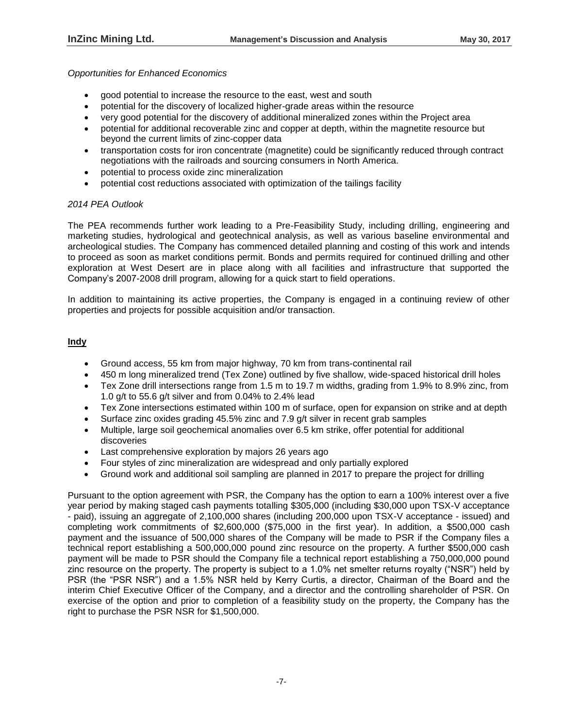# *Opportunities for Enhanced Economics*

- good potential to increase the resource to the east, west and south
- potential for the discovery of localized higher-grade areas within the resource
- very good potential for the discovery of additional mineralized zones within the Project area
- potential for additional recoverable zinc and copper at depth, within the magnetite resource but beyond the current limits of zinc-copper data
- transportation costs for iron concentrate (magnetite) could be significantly reduced through contract negotiations with the railroads and sourcing consumers in North America.
- potential to process oxide zinc mineralization
- potential cost reductions associated with optimization of the tailings facility

# *2014 PEA Outlook*

The PEA recommends further work leading to a Pre-Feasibility Study, including drilling, engineering and marketing studies, hydrological and geotechnical analysis, as well as various baseline environmental and archeological studies. The Company has commenced detailed planning and costing of this work and intends to proceed as soon as market conditions permit. Bonds and permits required for continued drilling and other exploration at West Desert are in place along with all facilities and infrastructure that supported the Company's 2007-2008 drill program, allowing for a quick start to field operations.

In addition to maintaining its active properties, the Company is engaged in a continuing review of other properties and projects for possible acquisition and/or transaction.

# **Indy**

- Ground access, 55 km from major highway, 70 km from trans-continental rail
- 450 m long mineralized trend (Tex Zone) outlined by five shallow, wide-spaced historical drill holes
- Tex Zone drill intersections range from 1.5 m to 19.7 m widths, grading from 1.9% to 8.9% zinc, from 1.0 g/t to 55.6 g/t silver and from 0.04% to 2.4% lead
- Tex Zone intersections estimated within 100 m of surface, open for expansion on strike and at depth
- Surface zinc oxides grading 45.5% zinc and 7.9 g/t silver in recent grab samples
- Multiple, large soil geochemical anomalies over 6.5 km strike, offer potential for additional discoveries
- Last comprehensive exploration by majors 26 years ago
- Four styles of zinc mineralization are widespread and only partially explored
- Ground work and additional soil sampling are planned in 2017 to prepare the project for drilling

Pursuant to the option agreement with PSR, the Company has the option to earn a 100% interest over a five year period by making staged cash payments totalling \$305,000 (including \$30,000 upon TSX-V acceptance - paid), issuing an aggregate of 2,100,000 shares (including 200,000 upon TSX-V acceptance - issued) and completing work commitments of \$2,600,000 (\$75,000 in the first year). In addition, a \$500,000 cash payment and the issuance of 500,000 shares of the Company will be made to PSR if the Company files a technical report establishing a 500,000,000 pound zinc resource on the property. A further \$500,000 cash payment will be made to PSR should the Company file a technical report establishing a 750,000,000 pound zinc resource on the property. The property is subject to a 1.0% net smelter returns royalty ("NSR") held by PSR (the "PSR NSR") and a 1.5% NSR held by Kerry Curtis, a director, Chairman of the Board and the interim Chief Executive Officer of the Company, and a director and the controlling shareholder of PSR. On exercise of the option and prior to completion of a feasibility study on the property, the Company has the right to purchase the PSR NSR for \$1,500,000.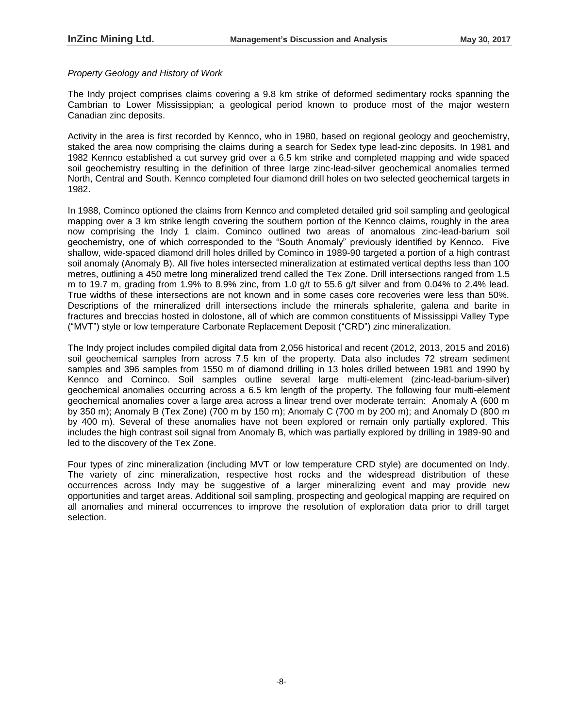## *Property Geology and History of Work*

The Indy project comprises claims covering a 9.8 km strike of deformed sedimentary rocks spanning the Cambrian to Lower Mississippian; a geological period known to produce most of the major western Canadian zinc deposits.

Activity in the area is first recorded by Kennco, who in 1980, based on regional geology and geochemistry, staked the area now comprising the claims during a search for Sedex type lead-zinc deposits. In 1981 and 1982 Kennco established a cut survey grid over a 6.5 km strike and completed mapping and wide spaced soil geochemistry resulting in the definition of three large zinc-lead-silver geochemical anomalies termed North, Central and South. Kennco completed four diamond drill holes on two selected geochemical targets in 1982.

In 1988, Cominco optioned the claims from Kennco and completed detailed grid soil sampling and geological mapping over a 3 km strike length covering the southern portion of the Kennco claims, roughly in the area now comprising the Indy 1 claim. Cominco outlined two areas of anomalous zinc-lead-barium soil geochemistry, one of which corresponded to the "South Anomaly" previously identified by Kennco. Five shallow, wide-spaced diamond drill holes drilled by Cominco in 1989-90 targeted a portion of a high contrast soil anomaly (Anomaly B). All five holes intersected mineralization at estimated vertical depths less than 100 metres, outlining a 450 metre long mineralized trend called the Tex Zone. Drill intersections ranged from 1.5 m to 19.7 m, grading from 1.9% to 8.9% zinc, from 1.0 g/t to 55.6 g/t silver and from 0.04% to 2.4% lead. True widths of these intersections are not known and in some cases core recoveries were less than 50%. Descriptions of the mineralized drill intersections include the minerals sphalerite, galena and barite in fractures and breccias hosted in dolostone, all of which are common constituents of Mississippi Valley Type ("MVT") style or low temperature Carbonate Replacement Deposit ("CRD") zinc mineralization.

The Indy project includes compiled digital data from 2,056 historical and recent (2012, 2013, 2015 and 2016) soil geochemical samples from across 7.5 km of the property. Data also includes 72 stream sediment samples and 396 samples from 1550 m of diamond drilling in 13 holes drilled between 1981 and 1990 by Kennco and Cominco. Soil samples outline several large multi-element (zinc-lead-barium-silver) geochemical anomalies occurring across a 6.5 km length of the property. The following four multi-element geochemical anomalies cover a large area across a linear trend over moderate terrain: Anomaly A (600 m by 350 m); Anomaly B (Tex Zone) (700 m by 150 m); Anomaly C (700 m by 200 m); and Anomaly D (800 m by 400 m). Several of these anomalies have not been explored or remain only partially explored. This includes the high contrast soil signal from Anomaly B, which was partially explored by drilling in 1989-90 and led to the discovery of the Tex Zone.

Four types of zinc mineralization (including MVT or low temperature CRD style) are documented on Indy. The variety of zinc mineralization, respective host rocks and the widespread distribution of these occurrences across Indy may be suggestive of a larger mineralizing event and may provide new opportunities and target areas. Additional soil sampling, prospecting and geological mapping are required on all anomalies and mineral occurrences to improve the resolution of exploration data prior to drill target selection.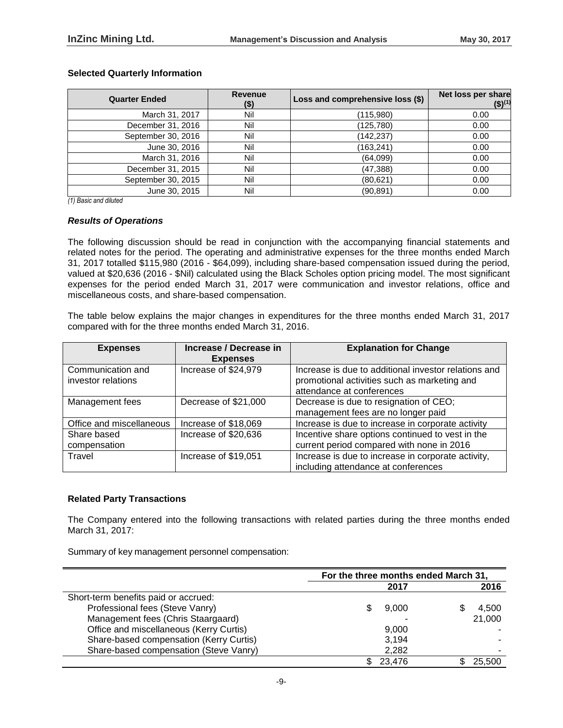## **Selected Quarterly Information**

| <b>Quarter Ended</b> | <b>Revenue</b><br>$($ \$) | Loss and comprehensive loss (\$) | Net loss per share<br>$($ \$) <sup>(1)</sup> |
|----------------------|---------------------------|----------------------------------|----------------------------------------------|
| March 31, 2017       | Nil                       | (115,980)                        | 0.00                                         |
| December 31, 2016    | Nil                       | (125, 780)                       | 0.00                                         |
| September 30, 2016   | Nil                       | (142, 237)                       | 0.00                                         |
| June 30, 2016        | Nil                       | (163, 241)                       | 0.00                                         |
| March 31, 2016       | Nil                       | (64,099)                         | 0.00                                         |
| December 31, 2015    | Nil                       | (47, 388)                        | 0.00                                         |
| September 30, 2015   | Nil                       | (80, 621)                        | 0.00                                         |
| June 30, 2015        | Nil                       | (90, 891)                        | 0.00                                         |

*(1) Basic and diluted*

#### *Results of Operations*

The following discussion should be read in conjunction with the accompanying financial statements and related notes for the period. The operating and administrative expenses for the three months ended March 31, 2017 totalled \$115,980 (2016 - \$64,099), including share-based compensation issued during the period, valued at \$20,636 (2016 - \$Nil) calculated using the Black Scholes option pricing model. The most significant expenses for the period ended March 31, 2017 were communication and investor relations, office and miscellaneous costs, and share-based compensation.

The table below explains the major changes in expenditures for the three months ended March 31, 2017 compared with for the three months ended March 31, 2016.

| <b>Expenses</b>                         | Increase / Decrease in<br><b>Expenses</b> | <b>Explanation for Change</b>                                                                                                     |
|-----------------------------------------|-------------------------------------------|-----------------------------------------------------------------------------------------------------------------------------------|
| Communication and<br>investor relations | Increase of \$24,979                      | Increase is due to additional investor relations and<br>promotional activities such as marketing and<br>attendance at conferences |
| Management fees                         | Decrease of \$21,000                      | Decrease is due to resignation of CEO;<br>management fees are no longer paid                                                      |
| Office and miscellaneous                | Increase of \$18,069                      | Increase is due to increase in corporate activity                                                                                 |
| Share based<br>compensation             | Increase of \$20,636                      | Incentive share options continued to vest in the<br>current period compared with none in 2016                                     |
| Travel                                  | Increase of \$19,051                      | Increase is due to increase in corporate activity,<br>including attendance at conferences                                         |

## **Related Party Transactions**

The Company entered into the following transactions with related parties during the three months ended March 31, 2017:

Summary of key management personnel compensation:

|                                         |   | For the three months ended March 31 |  |        |
|-----------------------------------------|---|-------------------------------------|--|--------|
|                                         |   | 2017                                |  | 2016   |
| Short-term benefits paid or accrued:    |   |                                     |  |        |
| Professional fees (Steve Vanry)         |   | 9,000                               |  | 4,500  |
| Management fees (Chris Staargaard)      |   |                                     |  | 21,000 |
| Office and miscellaneous (Kerry Curtis) |   | 9.000                               |  |        |
| Share-based compensation (Kerry Curtis) |   | 3,194                               |  |        |
| Share-based compensation (Steve Vanry)  |   | 2,282                               |  |        |
|                                         | S | 23.476                              |  | 25,500 |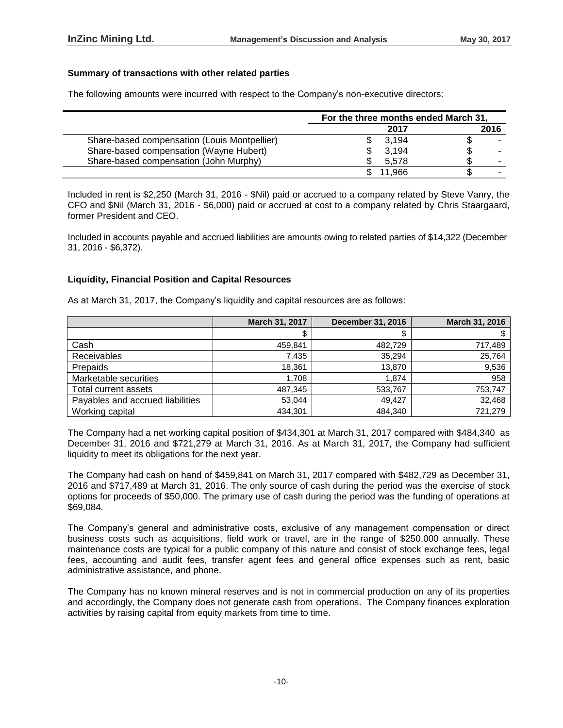# **Summary of transactions with other related parties**

The following amounts were incurred with respect to the Company's non-executive directors:

|                                              | For the three months ended March 31, |      |
|----------------------------------------------|--------------------------------------|------|
|                                              | 2017                                 | 2016 |
| Share-based compensation (Louis Montpellier) | 3.194                                | ۰D   |
| Share-based compensation (Wayne Hubert)      | 3.194                                | S    |
| Share-based compensation (John Murphy)       | 5.578                                |      |
|                                              | 1.966                                |      |

Included in rent is \$2,250 (March 31, 2016 - \$Nil) paid or accrued to a company related by Steve Vanry, the CFO and \$Nil (March 31, 2016 - \$6,000) paid or accrued at cost to a company related by Chris Staargaard, former President and CEO.

Included in accounts payable and accrued liabilities are amounts owing to related parties of \$14,322 (December 31, 2016 - \$6,372).

## **Liquidity, Financial Position and Capital Resources**

As at March 31, 2017, the Company's liquidity and capital resources are as follows:

|                                  | March 31, 2017 | <b>December 31, 2016</b> | March 31, 2016 |
|----------------------------------|----------------|--------------------------|----------------|
|                                  | \$             | \$                       |                |
| Cash                             | 459.841        | 482.729                  | 717.489        |
| Receivables                      | 7.435          | 35.294                   | 25,764         |
| Prepaids                         | 18.361         | 13.870                   | 9,536          |
| Marketable securities            | 1.708          | 1.874                    | 958            |
| Total current assets             | 487,345        | 533,767                  | 753,747        |
| Payables and accrued liabilities | 53.044         | 49.427                   | 32,468         |
| Working capital                  | 434,301        | 484.340                  | 721.279        |

The Company had a net working capital position of \$434,301 at March 31, 2017 compared with \$484,340 as December 31, 2016 and \$721,279 at March 31, 2016. As at March 31, 2017, the Company had sufficient liquidity to meet its obligations for the next year.

The Company had cash on hand of \$459,841 on March 31, 2017 compared with \$482,729 as December 31, 2016 and \$717,489 at March 31, 2016. The only source of cash during the period was the exercise of stock options for proceeds of \$50,000. The primary use of cash during the period was the funding of operations at \$69,084.

The Company's general and administrative costs, exclusive of any management compensation or direct business costs such as acquisitions, field work or travel, are in the range of \$250,000 annually. These maintenance costs are typical for a public company of this nature and consist of stock exchange fees, legal fees, accounting and audit fees, transfer agent fees and general office expenses such as rent, basic administrative assistance, and phone.

The Company has no known mineral reserves and is not in commercial production on any of its properties and accordingly, the Company does not generate cash from operations. The Company finances exploration activities by raising capital from equity markets from time to time.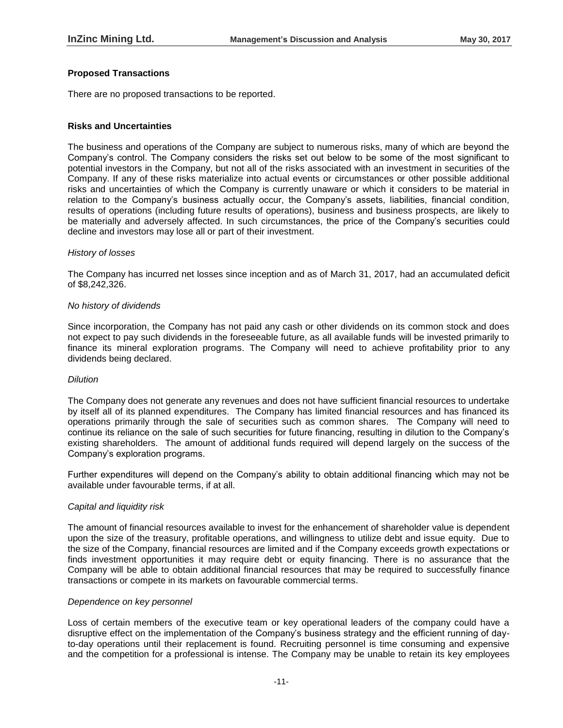# **Proposed Transactions**

There are no proposed transactions to be reported.

## **Risks and Uncertainties**

The business and operations of the Company are subject to numerous risks, many of which are beyond the Company's control. The Company considers the risks set out below to be some of the most significant to potential investors in the Company, but not all of the risks associated with an investment in securities of the Company. If any of these risks materialize into actual events or circumstances or other possible additional risks and uncertainties of which the Company is currently unaware or which it considers to be material in relation to the Company's business actually occur, the Company's assets, liabilities, financial condition, results of operations (including future results of operations), business and business prospects, are likely to be materially and adversely affected. In such circumstances, the price of the Company's securities could decline and investors may lose all or part of their investment.

#### *History of losses*

The Company has incurred net losses since inception and as of March 31, 2017, had an accumulated deficit of \$8,242,326.

#### *No history of dividends*

Since incorporation, the Company has not paid any cash or other dividends on its common stock and does not expect to pay such dividends in the foreseeable future, as all available funds will be invested primarily to finance its mineral exploration programs. The Company will need to achieve profitability prior to any dividends being declared.

## *Dilution*

The Company does not generate any revenues and does not have sufficient financial resources to undertake by itself all of its planned expenditures. The Company has limited financial resources and has financed its operations primarily through the sale of securities such as common shares. The Company will need to continue its reliance on the sale of such securities for future financing, resulting in dilution to the Company's existing shareholders. The amount of additional funds required will depend largely on the success of the Company's exploration programs.

Further expenditures will depend on the Company's ability to obtain additional financing which may not be available under favourable terms, if at all.

## *Capital and liquidity risk*

The amount of financial resources available to invest for the enhancement of shareholder value is dependent upon the size of the treasury, profitable operations, and willingness to utilize debt and issue equity. Due to the size of the Company, financial resources are limited and if the Company exceeds growth expectations or finds investment opportunities it may require debt or equity financing. There is no assurance that the Company will be able to obtain additional financial resources that may be required to successfully finance transactions or compete in its markets on favourable commercial terms.

#### *Dependence on key personnel*

Loss of certain members of the executive team or key operational leaders of the company could have a disruptive effect on the implementation of the Company's business strategy and the efficient running of dayto-day operations until their replacement is found. Recruiting personnel is time consuming and expensive and the competition for a professional is intense. The Company may be unable to retain its key employees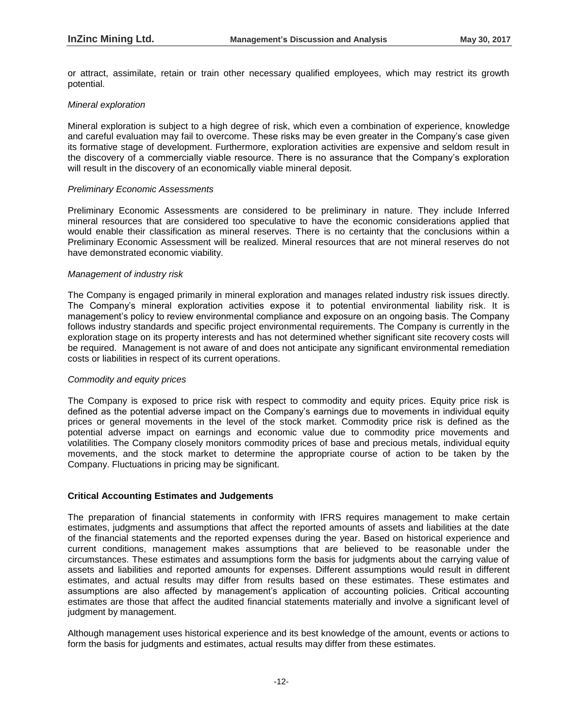or attract, assimilate, retain or train other necessary qualified employees, which may restrict its growth potential.

#### *Mineral exploration*

Mineral exploration is subject to a high degree of risk, which even a combination of experience, knowledge and careful evaluation may fail to overcome. These risks may be even greater in the Company's case given its formative stage of development. Furthermore, exploration activities are expensive and seldom result in the discovery of a commercially viable resource. There is no assurance that the Company's exploration will result in the discovery of an economically viable mineral deposit.

#### *Preliminary Economic Assessments*

Preliminary Economic Assessments are considered to be preliminary in nature. They include Inferred mineral resources that are considered too speculative to have the economic considerations applied that would enable their classification as mineral reserves. There is no certainty that the conclusions within a Preliminary Economic Assessment will be realized. Mineral resources that are not mineral reserves do not have demonstrated economic viability.

#### *Management of industry risk*

The Company is engaged primarily in mineral exploration and manages related industry risk issues directly. The Company's mineral exploration activities expose it to potential environmental liability risk. It is management's policy to review environmental compliance and exposure on an ongoing basis. The Company follows industry standards and specific project environmental requirements. The Company is currently in the exploration stage on its property interests and has not determined whether significant site recovery costs will be required. Management is not aware of and does not anticipate any significant environmental remediation costs or liabilities in respect of its current operations.

## *Commodity and equity prices*

The Company is exposed to price risk with respect to commodity and equity prices. Equity price risk is defined as the potential adverse impact on the Company's earnings due to movements in individual equity prices or general movements in the level of the stock market. Commodity price risk is defined as the potential adverse impact on earnings and economic value due to commodity price movements and volatilities. The Company closely monitors commodity prices of base and precious metals, individual equity movements, and the stock market to determine the appropriate course of action to be taken by the Company. Fluctuations in pricing may be significant.

## **Critical Accounting Estimates and Judgements**

The preparation of financial statements in conformity with IFRS requires management to make certain estimates, judgments and assumptions that affect the reported amounts of assets and liabilities at the date of the financial statements and the reported expenses during the year. Based on historical experience and current conditions, management makes assumptions that are believed to be reasonable under the circumstances. These estimates and assumptions form the basis for judgments about the carrying value of assets and liabilities and reported amounts for expenses. Different assumptions would result in different estimates, and actual results may differ from results based on these estimates. These estimates and assumptions are also affected by management's application of accounting policies. Critical accounting estimates are those that affect the audited financial statements materially and involve a significant level of judgment by management.

Although management uses historical experience and its best knowledge of the amount, events or actions to form the basis for judgments and estimates, actual results may differ from these estimates.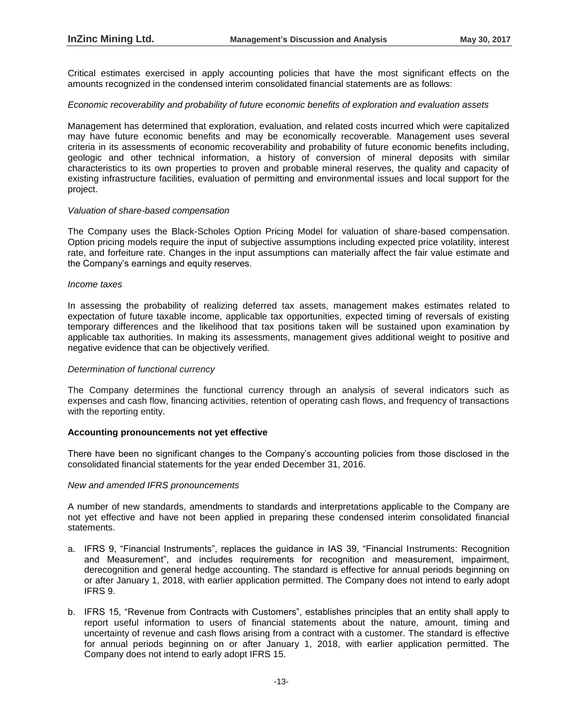Critical estimates exercised in apply accounting policies that have the most significant effects on the amounts recognized in the condensed interim consolidated financial statements are as follows:

#### *Economic recoverability and probability of future economic benefits of exploration and evaluation assets*

Management has determined that exploration, evaluation, and related costs incurred which were capitalized may have future economic benefits and may be economically recoverable. Management uses several criteria in its assessments of economic recoverability and probability of future economic benefits including, geologic and other technical information, a history of conversion of mineral deposits with similar characteristics to its own properties to proven and probable mineral reserves, the quality and capacity of existing infrastructure facilities, evaluation of permitting and environmental issues and local support for the project.

#### *Valuation of share-based compensation*

The Company uses the Black-Scholes Option Pricing Model for valuation of share-based compensation. Option pricing models require the input of subjective assumptions including expected price volatility, interest rate, and forfeiture rate. Changes in the input assumptions can materially affect the fair value estimate and the Company's earnings and equity reserves.

#### *Income taxes*

In assessing the probability of realizing deferred tax assets, management makes estimates related to expectation of future taxable income, applicable tax opportunities, expected timing of reversals of existing temporary differences and the likelihood that tax positions taken will be sustained upon examination by applicable tax authorities. In making its assessments, management gives additional weight to positive and negative evidence that can be objectively verified.

#### *Determination of functional currency*

The Company determines the functional currency through an analysis of several indicators such as expenses and cash flow, financing activities, retention of operating cash flows, and frequency of transactions with the reporting entity.

## **Accounting pronouncements not yet effective**

There have been no significant changes to the Company's accounting policies from those disclosed in the consolidated financial statements for the year ended December 31, 2016.

#### *New and amended IFRS pronouncements*

A number of new standards, amendments to standards and interpretations applicable to the Company are not yet effective and have not been applied in preparing these condensed interim consolidated financial statements.

- a. IFRS 9, "Financial Instruments", replaces the guidance in IAS 39, "Financial Instruments: Recognition and Measurement", and includes requirements for recognition and measurement, impairment, derecognition and general hedge accounting. The standard is effective for annual periods beginning on or after January 1, 2018, with earlier application permitted. The Company does not intend to early adopt IFRS 9.
- b. IFRS 15, "Revenue from Contracts with Customers", establishes principles that an entity shall apply to report useful information to users of financial statements about the nature, amount, timing and uncertainty of revenue and cash flows arising from a contract with a customer. The standard is effective for annual periods beginning on or after January 1, 2018, with earlier application permitted. The Company does not intend to early adopt IFRS 15.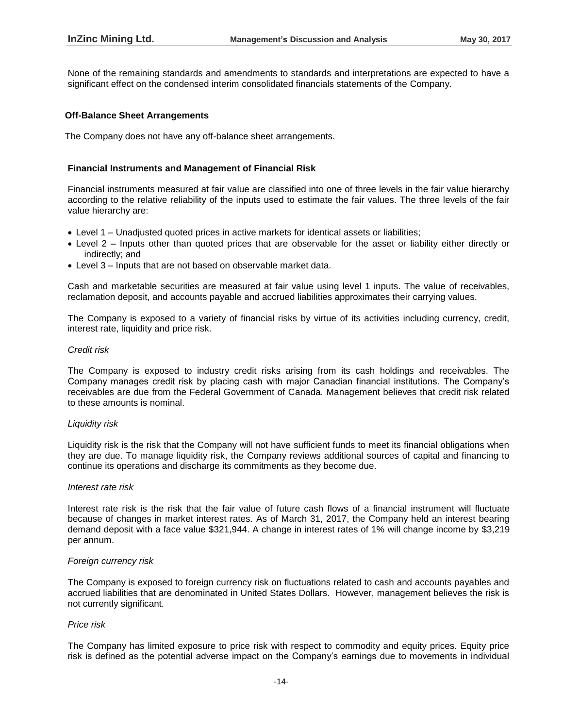None of the remaining standards and amendments to standards and interpretations are expected to have a significant effect on the condensed interim consolidated financials statements of the Company.

#### **Off-Balance Sheet Arrangements**

The Company does not have any off-balance sheet arrangements.

#### **Financial Instruments and Management of Financial Risk**

Financial instruments measured at fair value are classified into one of three levels in the fair value hierarchy according to the relative reliability of the inputs used to estimate the fair values. The three levels of the fair value hierarchy are:

- Level 1 Unadjusted quoted prices in active markets for identical assets or liabilities;
- Level 2 Inputs other than quoted prices that are observable for the asset or liability either directly or indirectly; and
- Level 3 Inputs that are not based on observable market data.

Cash and marketable securities are measured at fair value using level 1 inputs. The value of receivables, reclamation deposit, and accounts payable and accrued liabilities approximates their carrying values.

The Company is exposed to a variety of financial risks by virtue of its activities including currency, credit, interest rate, liquidity and price risk.

#### *Credit risk*

The Company is exposed to industry credit risks arising from its cash holdings and receivables. The Company manages credit risk by placing cash with major Canadian financial institutions. The Company's receivables are due from the Federal Government of Canada. Management believes that credit risk related to these amounts is nominal.

#### *Liquidity risk*

Liquidity risk is the risk that the Company will not have sufficient funds to meet its financial obligations when they are due. To manage liquidity risk, the Company reviews additional sources of capital and financing to continue its operations and discharge its commitments as they become due.

#### *Interest rate risk*

Interest rate risk is the risk that the fair value of future cash flows of a financial instrument will fluctuate because of changes in market interest rates. As of March 31, 2017, the Company held an interest bearing demand deposit with a face value \$321,944. A change in interest rates of 1% will change income by \$3,219 per annum.

## *Foreign currency risk*

The Company is exposed to foreign currency risk on fluctuations related to cash and accounts payables and accrued liabilities that are denominated in United States Dollars. However, management believes the risk is not currently significant.

## *Price risk*

The Company has limited exposure to price risk with respect to commodity and equity prices. Equity price risk is defined as the potential adverse impact on the Company's earnings due to movements in individual